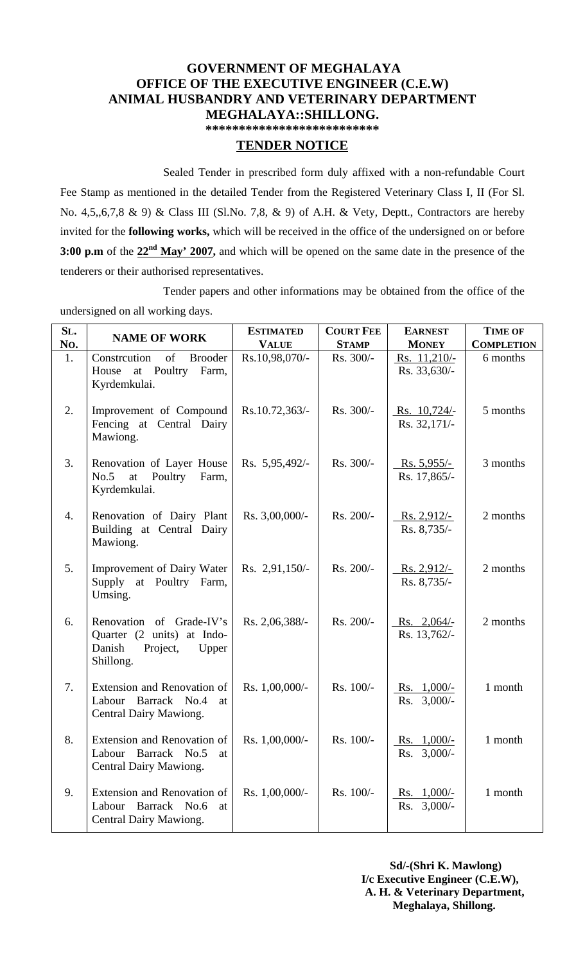## **GOVERNMENT OF MEGHALAYA OFFICE OF THE EXECUTIVE ENGINEER (C.E.W) ANIMAL HUSBANDRY AND VETERINARY DEPARTMENT MEGHALAYA::SHILLONG.**

**\*\*\*\*\*\*\*\*\*\*\*\*\*\*\*\*\*\*\*\*\*\*\*\*\*\*** 

## **TENDER NOTICE**

Sealed Tender in prescribed form duly affixed with a non-refundable Court Fee Stamp as mentioned in the detailed Tender from the Registered Veterinary Class I, II (For Sl. No. 4,5,,6,7,8 & 9) & Class III (Sl.No. 7,8, & 9) of A.H. & Vety, Deptt., Contractors are hereby invited for the **following works,** which will be received in the office of the undersigned on or before **3:00 p.m** of the **22nd May' 2007,** and which will be opened on the same date in the presence of the tenderers or their authorised representatives.

Tender papers and other informations may be obtained from the office of the undersigned on all working days.

| SL.<br>No. | <b>NAME OF WORK</b>                                                                                | <b>ESTIMATED</b><br><b>VALUE</b> | <b>COURT FEE</b><br><b>STAMP</b> | <b>EARNEST</b><br><b>MONEY</b>     | <b>TIME OF</b><br><b>COMPLETION</b> |
|------------|----------------------------------------------------------------------------------------------------|----------------------------------|----------------------------------|------------------------------------|-------------------------------------|
| 1.         | Constrcution<br>of<br><b>Brooder</b><br>at Poultry<br>Farm,<br>House<br>Kyrdemkulai.               | Rs.10,98,070/-                   | Rs. 300/-                        | Rs. $11,210/-$<br>Rs. 33,630/-     | 6 months                            |
| 2.         | Improvement of Compound<br>Fencing at Central Dairy<br>Mawiong.                                    | Rs.10.72,363/-                   | Rs. 300/-                        | Rs. 10,724/<br>Rs. 32,171/-        | 5 months                            |
| 3.         | Renovation of Layer House<br>No.5<br>Poultry<br>Farm,<br>at<br>Kyrdemkulai.                        | Rs. 5,95,492/-                   | Rs. 300/-                        | <u>Rs. 5,955/-</u><br>Rs. 17,865/- | 3 months                            |
| 4.         | Renovation of Dairy Plant<br>Building at Central Dairy<br>Mawiong.                                 | Rs. 3,00,000/-                   | Rs. 200/-                        | $Rs. 2,912/-$<br>Rs. 8,735/-       | 2 months                            |
| 5.         | <b>Improvement of Dairy Water</b><br>Supply at Poultry Farm,<br>Umsing.                            | Rs. $2,91,150/-$                 | Rs. 200/-                        | $Rs. 2,912/-$<br>Rs. 8,735/-       | 2 months                            |
| 6.         | Renovation of Grade-IV's<br>Quarter (2 units) at Indo-<br>Danish<br>Project,<br>Upper<br>Shillong. | Rs. 2,06,388/-                   | Rs. 200/-                        | $Rs. 2,064/-$<br>Rs. 13,762/-      | 2 months                            |
| 7.         | Extension and Renovation of<br>Barrack No.4<br>Labour<br>at<br>Central Dairy Mawiong.              | Rs. 1,00,000/-                   | Rs. 100/-                        | Rs. $1,000/-$<br>3,000/<br>Rs.     | 1 month                             |
| 8.         | Extension and Renovation of<br>Labour<br>Barrack No.5<br>at<br>Central Dairy Mawiong.              | Rs. 1,00,000/-                   | Rs. 100/-                        | Rs. $1,000/-$<br>Rs. 3,000/-       | 1 month                             |
| 9.         | Extension and Renovation of<br>Labour<br>Barrack No.6<br>at<br>Central Dairy Mawiong.              | Rs. 1,00,000/-                   | Rs. 100/-                        | Rs. $1,000/-$<br>Rs. $3,000/-$     | 1 month                             |

 **Sd/-(Shri K. Mawlong) I/c Executive Engineer (C.E.W), A. H. & Veterinary Department, Meghalaya, Shillong.**